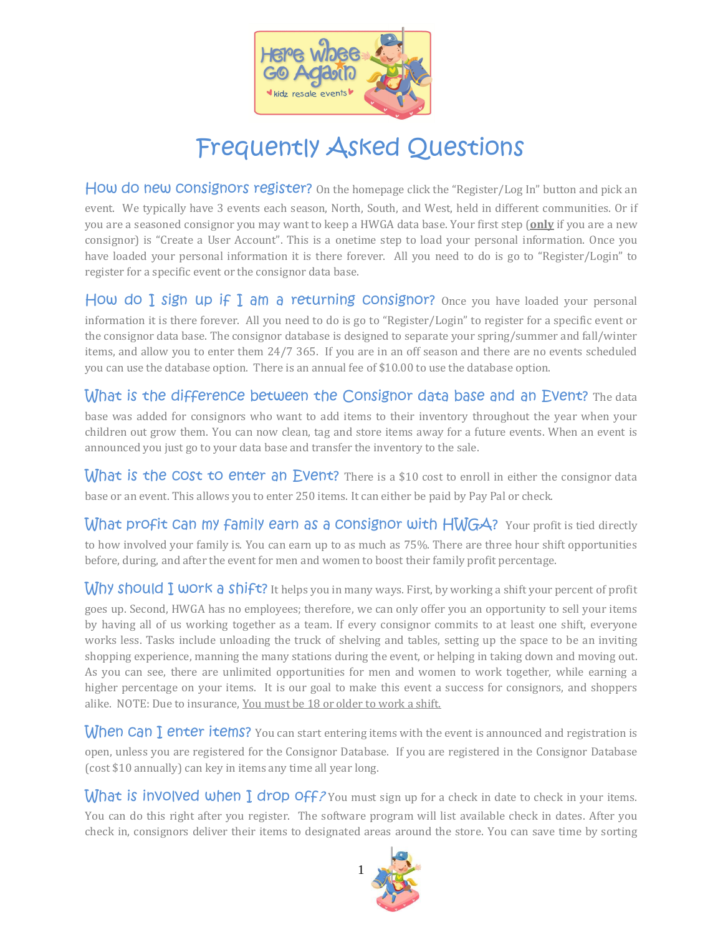

## Frequently Asked Questions

How do new Consignors register? On the homepage click the "Register/Log In" button and pick an event. We typically have 3 events each season, North, South, and West, held in different communities. Or if you are a seasoned consignor you may want to keep a HWGA data base. Your first step (**only** if you are a new consignor) is "Create a User Account". This is a onetime step to load your personal information. Once you have loaded your personal information it is there forever. All you need to do is go to "Register/Login" to register for a specific event or the consignor data base.

How do I sign up if I am a returning Consignor? Once you have loaded your personal information it is there forever. All you need to do is go to "Register/Login" to register for a specific event or the consignor data base. The consignor database is designed to separate your spring/summer and fall/winter items, and allow you to enter them 24/7 365. If you are in an off season and there are no events scheduled you can use the database option. There is an annual fee of \$10.00 to use the database option.

What is the difference between the Consignor data base and an Event? The data base was added for consignors who want to add items to their inventory throughout the year when your children out grow them. You can now clean, tag and store items away for a future events. When an event is announced you just go to your data base and transfer the inventory to the sale.

What is the COst to enter an Event? There is a \$10 cost to enroll in either the consignor data base or an event. This allows you to enter 250 items. It can either be paid by Pay Pal or check.

What profit Can my family earn as a Consignor with HWGA? Your profit is tied directly to how involved your family is. You can earn up to as much as 75%. There are three hour shift opportunities before, during, and after the event for men and women to boost their family profit percentage.

Why should  $I$  work a shift? It helps you in many ways. First, by working a shift your percent of profit goes up. Second, HWGA has no employees; therefore, we can only offer you an opportunity to sell your items by having all of us working together as a team. If every consignor commits to at least one shift, everyone works less. Tasks include unloading the truck of shelving and tables, setting up the space to be an inviting shopping experience, manning the many stations during the event, or helping in taking down and moving out. As you can see, there are unlimited opportunities for men and women to work together, while earning a higher percentage on your items. It is our goal to make this event a success for consignors, and shoppers alike. NOTE: Due to insurance, You must be 18 or older to work a shift.

**When Can I enter items?** You can start entering items with the event is announced and registration is open, unless you are registered for the Consignor Database. If you are registered in the Consignor Database (cost \$10 annually) can key in items any time all year long.

What is involved when I drop  $\frac{1}{2}$  You must sign up for a check in date to check in your items. You can do this right after you register. The software program will list available check in dates. After you check in, consignors deliver their items to designated areas around the store. You can save time by sorting

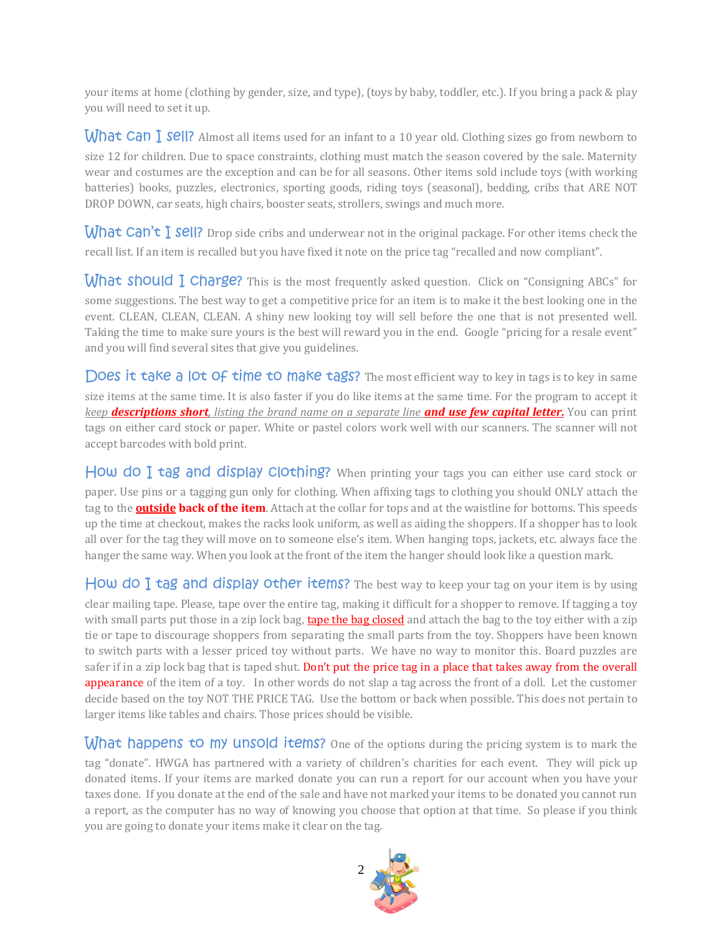your items at home (clothing by gender, size, and type), (toys by baby, toddler, etc.). If you bring a pack & play you will need to set it up.

What Can I sell? Almost all items used for an infant to a 10 year old. Clothing sizes go from newborn to size 12 for children. Due to space constraints, clothing must match the season covered by the sale. Maternity wear and costumes are the exception and can be for all seasons. Other items sold include toys (with working batteries) books, puzzles, electronics, sporting goods, riding toys (seasonal), bedding, cribs that ARE NOT DROP DOWN, car seats, high chairs, booster seats, strollers, swings and much more.

What Can't I sell? Drop side cribs and underwear not in the original package. For other items check the recall list. If an item is recalled but you have fixed it note on the price tag "recalled and now compliant".

What should  $\Gamma$  charge? This is the most frequently asked question. Click on "Consigning ABCs" for some suggestions. The best way to get a competitive price for an item is to make it the best looking one in the event. CLEAN, CLEAN, CLEAN. A shiny new looking toy will sell before the one that is not presented well. Taking the time to make sure yours is the best will reward you in the end. Google "pricing for a resale event" and you will find several sites that give you guidelines.

Does it take a lot of time to make tags? The most efficient way to key in tags is to key in same size items at the same time. It is also faster if you do like items at the same time. For the program to accept it *keep descriptions short, listing the brand name on a separate line and use few capital letter.* You can print tags on either card stock or paper. White or pastel colors work well with our scanners. The scanner will not accept barcodes with bold print.

How do I tag and display clothing? When printing your tags you can either use card stock or paper. Use pins or a tagging gun only for clothing. When affixing tags to clothing you should ONLY attach the tag to the **outside back of the item**. Attach at the collar for tops and at the waistline for bottoms. This speeds up the time at checkout, makes the racks look uniform, as well as aiding the shoppers. If a shopper has to look all over for the tag they will move on to someone else's item. When hanging tops, jackets, etc. always face the hanger the same way. When you look at the front of the item the hanger should look like a question mark.

How do I tag and display other items? The best way to keep your tag on your item is by using clear mailing tape. Please, tape over the entire tag, making it difficult for a shopper to remove. If tagging a toy with small parts put those in a zip lock bag, **tape the bag closed** and attach the bag to the toy either with a zip tie or tape to discourage shoppers from separating the small parts from the toy. Shoppers have been known to switch parts with a lesser priced toy without parts. We have no way to monitor this. Board puzzles are safer if in a zip lock bag that is taped shut. Don't put the price tag in a place that takes away from the overall appearance of the item of a toy. In other words do not slap a tag across the front of a doll. Let the customer decide based on the toy NOT THE PRICE TAG. Use the bottom or back when possible. This does not pertain to larger items like tables and chairs. Those prices should be visible.

What happens to my unsold items? One of the options during the pricing system is to mark the tag "donate". HWGA has partnered with a variety of children's charities for each event. They will pick up donated items. If your items are marked donate you can run a report for our account when you have your taxes done. If you donate at the end of the sale and have not marked your items to be donated you cannot run a report, as the computer has no way of knowing you choose that option at that time. So please if you think you are going to donate your items make it clear on the tag.